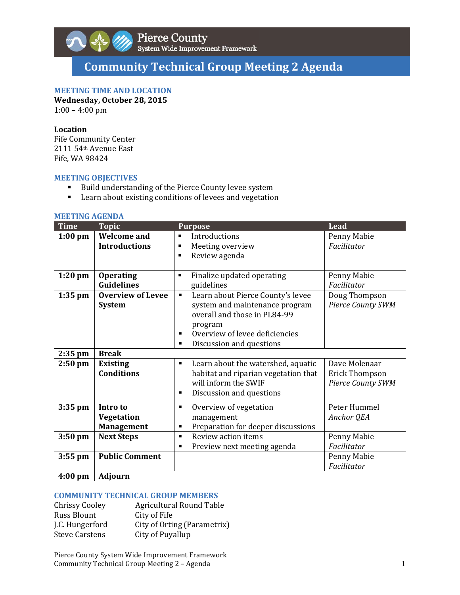

# **Community Technical Group Meeting 2 Agenda**

# **MEETING TIME AND LOCATION**

**Wednesday, October 28, 2015**

 $1:00 - 4:00$  pm

## **Location**

Fife Community Center 2111 54<sup>th</sup> Avenue East Fife, WA 98424

#### **MEETING OBJECTIVES**

- Build understanding of the Pierce County levee system
- **EXECTE:** Learn about existing conditions of levees and vegetation

#### **MEETING AGENDA**

| <b>Welcome</b> and<br>Introductions<br>Penny Mabie<br>$1:00$ pm<br>$\blacksquare$<br>Facilitator<br><b>Introductions</b><br>Meeting overview<br>Review agenda<br>п<br><b>Operating</b><br>Finalize updated operating<br>Penny Mabie<br>$1:20$ pm<br>$\blacksquare$<br><b>Guidelines</b><br>guidelines<br>Facilitator<br><b>Overview of Levee</b><br>Learn about Pierce County's levee<br>Doug Thompson<br>$1:35$ pm<br>$\blacksquare$<br>system and maintenance program<br><b>Pierce County SWM</b><br><b>System</b><br>overall and those in PL84-99<br>program<br>Overview of levee deficiencies<br>$\blacksquare$<br>Discussion and questions<br>٠<br><b>Break</b><br>$2:35$ pm<br><b>Existing</b><br>Learn about the watershed, aquatic<br>Dave Molenaar<br>$2:50$ pm<br>٠<br><b>Conditions</b><br>habitat and riparian vegetation that<br><b>Erick Thompson</b><br>will inform the SWIF<br><b>Pierce County SWM</b><br>Discussion and questions<br>٠<br>Peter Hummel<br>Intro to<br>Overview of vegetation<br>$3:35$ pm<br>٠<br><b>Vegetation</b><br>Anchor QEA<br>management<br>Preparation for deeper discussions<br><b>Management</b><br>٠<br>$3:50$ pm<br><b>Next Steps</b><br>Review action items<br>Penny Mabie<br>$\blacksquare$<br>Facilitator<br>Preview next meeting agenda<br>٠<br><b>Public Comment</b><br>$3:55$ pm<br>Penny Mabie<br>Facilitator | <b>Time</b> | <b>Topic</b> | <b>Purpose</b> | Lead |
|--------------------------------------------------------------------------------------------------------------------------------------------------------------------------------------------------------------------------------------------------------------------------------------------------------------------------------------------------------------------------------------------------------------------------------------------------------------------------------------------------------------------------------------------------------------------------------------------------------------------------------------------------------------------------------------------------------------------------------------------------------------------------------------------------------------------------------------------------------------------------------------------------------------------------------------------------------------------------------------------------------------------------------------------------------------------------------------------------------------------------------------------------------------------------------------------------------------------------------------------------------------------------------------------------------------------------------------------------------------------|-------------|--------------|----------------|------|
|                                                                                                                                                                                                                                                                                                                                                                                                                                                                                                                                                                                                                                                                                                                                                                                                                                                                                                                                                                                                                                                                                                                                                                                                                                                                                                                                                                    |             |              |                |      |
|                                                                                                                                                                                                                                                                                                                                                                                                                                                                                                                                                                                                                                                                                                                                                                                                                                                                                                                                                                                                                                                                                                                                                                                                                                                                                                                                                                    |             |              |                |      |
|                                                                                                                                                                                                                                                                                                                                                                                                                                                                                                                                                                                                                                                                                                                                                                                                                                                                                                                                                                                                                                                                                                                                                                                                                                                                                                                                                                    |             |              |                |      |
|                                                                                                                                                                                                                                                                                                                                                                                                                                                                                                                                                                                                                                                                                                                                                                                                                                                                                                                                                                                                                                                                                                                                                                                                                                                                                                                                                                    |             |              |                |      |
|                                                                                                                                                                                                                                                                                                                                                                                                                                                                                                                                                                                                                                                                                                                                                                                                                                                                                                                                                                                                                                                                                                                                                                                                                                                                                                                                                                    |             |              |                |      |
|                                                                                                                                                                                                                                                                                                                                                                                                                                                                                                                                                                                                                                                                                                                                                                                                                                                                                                                                                                                                                                                                                                                                                                                                                                                                                                                                                                    |             |              |                |      |
|                                                                                                                                                                                                                                                                                                                                                                                                                                                                                                                                                                                                                                                                                                                                                                                                                                                                                                                                                                                                                                                                                                                                                                                                                                                                                                                                                                    |             |              |                |      |
|                                                                                                                                                                                                                                                                                                                                                                                                                                                                                                                                                                                                                                                                                                                                                                                                                                                                                                                                                                                                                                                                                                                                                                                                                                                                                                                                                                    |             |              |                |      |

# **4:00 pm Adjourn**

#### **COMMUNITY TECHNICAL GROUP MEMBERS**

| <b>Chrissy Cooley</b> | <b>Agricultural Round Table</b> |
|-----------------------|---------------------------------|
| Russ Blount           | City of Fife                    |
| J.C. Hungerford       | City of Orting (Parametrix)     |
| <b>Steve Carstens</b> | City of Puyallup                |

Pierce County System Wide Improvement Framework Community Technical Group Meeting 2 - Agenda 1